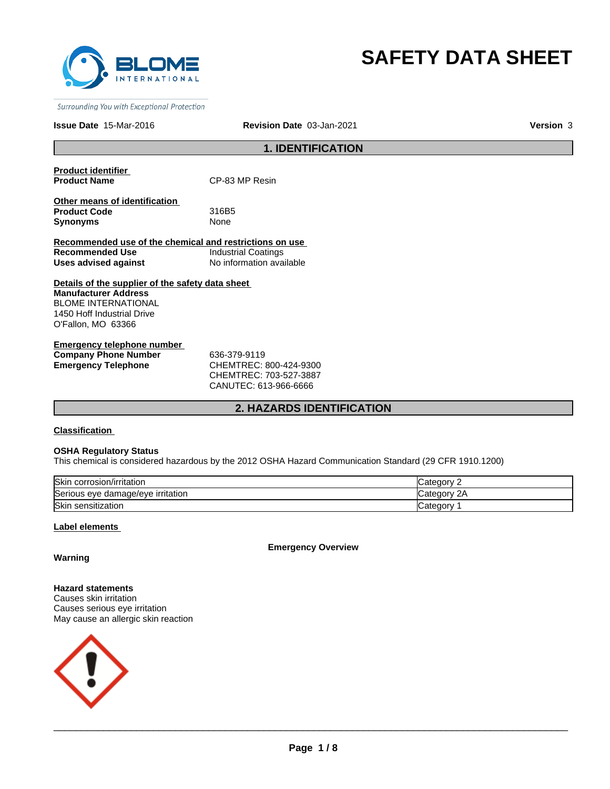

# **SAFETY DATA SHEET**

Surrounding You with Exceptional Protection

#### **Issue Date** 15-Mar-2016 **Revision Date** 03-Jan-2021 **Version** 3

## **1. IDENTIFICATION**

**Product identifier** 

**CP-83 MP Resin** 

**Other means of identification Product Code** 316B5 **Synonyms** None

**Recommended use of the chemical and restrictions on use Recommended Use Industrial Coatings<br>
Uses advised against Industrial No information ava Uses advised against** No information available

**Details of the supplier of the safety data sheet Manufacturer Address** BLOME INTERNATIONAL 1450 Hoff Industrial Drive O'Fallon, MO 63366

**Emergency telephone number Company Phone Number** 636-379-9119 **Emergency Telephone** CHEMTREC: 800-424-9300

CHEMTREC: 703-527-3887 CANUTEC: 613-966-6666

## **2. HAZARDS IDENTIFICATION**

**Classification** 

#### **OSHA Regulatory Status**

This chemical is considered hazardous by the 2012 OSHA Hazard Communication Standard (29 CFR 1910.1200)

| <b>Skin</b><br>corrosion/irritation | ≀aor                       |
|-------------------------------------|----------------------------|
| Serious eye damage/eye irritation   | 2Α<br>Jatedor <sup>y</sup> |
| Skin<br>ı sensitization             | −ategor                    |

## **Label elements**

**Emergency Overview**

## **Warning**

**Hazard statements** Causes skin irritation Causes serious eye irritation May cause an allergic skin reaction

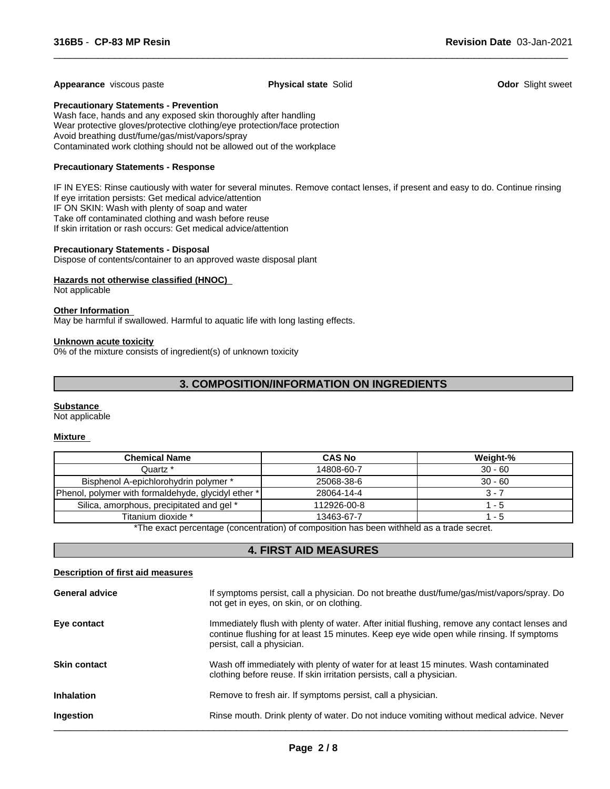#### **Appearance** viscous paste **Physical state** Solid **Odor** Slight sweet

 $\overline{\phantom{a}}$  ,  $\overline{\phantom{a}}$  ,  $\overline{\phantom{a}}$  ,  $\overline{\phantom{a}}$  ,  $\overline{\phantom{a}}$  ,  $\overline{\phantom{a}}$  ,  $\overline{\phantom{a}}$  ,  $\overline{\phantom{a}}$  ,  $\overline{\phantom{a}}$  ,  $\overline{\phantom{a}}$  ,  $\overline{\phantom{a}}$  ,  $\overline{\phantom{a}}$  ,  $\overline{\phantom{a}}$  ,  $\overline{\phantom{a}}$  ,  $\overline{\phantom{a}}$  ,  $\overline{\phantom{a}}$ 

## **Precautionary Statements - Prevention**

Wash face, hands and any exposed skin thoroughly after handling Wear protective gloves/protective clothing/eye protection/face protection Avoid breathing dust/fume/gas/mist/vapors/spray Contaminated work clothing should not be allowed out of the workplace

## **Precautionary Statements - Response**

IF IN EYES: Rinse cautiously with water for several minutes. Remove contact lenses, if present and easy to do. Continue rinsing If eye irritation persists: Get medical advice/attention IF ON SKIN: Wash with plenty of soap and water Take off contaminated clothing and wash before reuse If skin irritation or rash occurs: Get medical advice/attention

#### **Precautionary Statements - Disposal**

Dispose of contents/container to an approved waste disposal plant

## **Hazards not otherwise classified (HNOC)**

Not applicable

## **Other Information**

May be harmful if swallowed. Harmful to aquatic life with long lasting effects.

#### **Unknown acute toxicity**

0% of the mixture consists of ingredient(s) of unknown toxicity

## **3. COMPOSITION/INFORMATION ON INGREDIENTS**

#### **Substance**

Not applicable

#### **Mixture**

| <b>Chemical Name</b>                                | <b>CAS No</b> | Weight-%  |
|-----------------------------------------------------|---------------|-----------|
| Quartz *                                            | 14808-60-7    | $30 - 60$ |
| Bisphenol A-epichlorohydrin polymer *               | 25068-38-6    | $30 - 60$ |
| Phenol, polymer with formaldehyde, glycidyl ether * | 28064-14-4    | 3 - 7     |
| Silica, amorphous, precipitated and gel *           | 112926-00-8   | - 5       |
| Titanium dioxide *                                  | 13463-67-7    | - 5       |

\*The exact percentage (concentration) of composition has been withheld as a trade secret.

## **4. FIRST AID MEASURES**

### **Description of first aid measures**

| <b>General advice</b> | If symptoms persist, call a physician. Do not breathe dust/fume/gas/mist/vapors/spray. Do<br>not get in eyes, on skin, or on clothing.                                                                                  |
|-----------------------|-------------------------------------------------------------------------------------------------------------------------------------------------------------------------------------------------------------------------|
| Eye contact           | Immediately flush with plenty of water. After initial flushing, remove any contact lenses and<br>continue flushing for at least 15 minutes. Keep eye wide open while rinsing. If symptoms<br>persist, call a physician. |
| <b>Skin contact</b>   | Wash off immediately with plenty of water for at least 15 minutes. Wash contaminated<br>clothing before reuse. If skin irritation persists, call a physician.                                                           |
| <b>Inhalation</b>     | Remove to fresh air. If symptoms persist, call a physician.                                                                                                                                                             |
| Ingestion             | Rinse mouth. Drink plenty of water. Do not induce vomiting without medical advice. Never                                                                                                                                |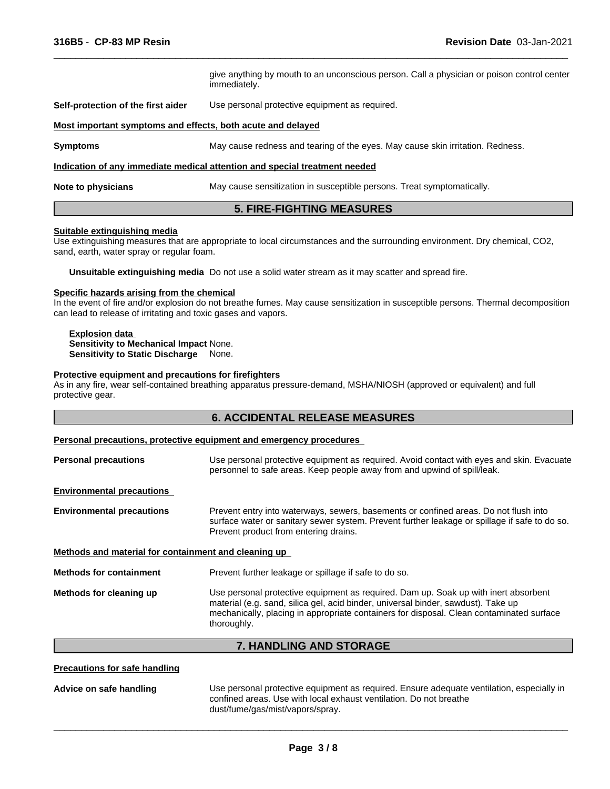give anything by mouth to an unconscious person. Call a physician or poison control center immediately. **Self-protection of the first aider** Use personal protective equipment as required. **Most important symptoms and effects, both acute and delayed Symptoms** May cause redness and tearing of the eyes. May cause skin irritation. Redness. **Indication of any immediate medical attention and special treatment needed Note to physicians** May cause sensitization in susceptible persons. Treat symptomatically. **5. FIRE-FIGHTING MEASURES**

 $\overline{\phantom{a}}$  ,  $\overline{\phantom{a}}$  ,  $\overline{\phantom{a}}$  ,  $\overline{\phantom{a}}$  ,  $\overline{\phantom{a}}$  ,  $\overline{\phantom{a}}$  ,  $\overline{\phantom{a}}$  ,  $\overline{\phantom{a}}$  ,  $\overline{\phantom{a}}$  ,  $\overline{\phantom{a}}$  ,  $\overline{\phantom{a}}$  ,  $\overline{\phantom{a}}$  ,  $\overline{\phantom{a}}$  ,  $\overline{\phantom{a}}$  ,  $\overline{\phantom{a}}$  ,  $\overline{\phantom{a}}$ 

## **Suitable extinguishing media**

Use extinguishing measures that are appropriate to local circumstances and the surrounding environment. Dry chemical, CO2, sand, earth, water spray or regular foam.

**Unsuitable extinguishing media** Do not use a solid water stream as it may scatter and spread fire.

## **Specific hazards arising from the chemical**

In the event of fire and/or explosion do not breathe fumes. May cause sensitization in susceptible persons. Thermal decomposition can lead to release of irritating and toxic gases and vapors.

#### **Explosion data Sensitivity to Mechanical Impact** None. **Sensitivity to Static Discharge** None.

#### **Protective equipment and precautions for firefighters**

As in any fire, wear self-contained breathing apparatus pressure-demand, MSHA/NIOSH (approved or equivalent) and full protective gear.

## **6. ACCIDENTAL RELEASE MEASURES**

#### **Personal precautions, protective equipment and emergency procedures**

| <b>Personal precautions</b>                          | Use personal protective equipment as required. Avoid contact with eyes and skin. Evacuate<br>personnel to safe areas. Keep people away from and upwind of spill/leak.                                                                                                               |
|------------------------------------------------------|-------------------------------------------------------------------------------------------------------------------------------------------------------------------------------------------------------------------------------------------------------------------------------------|
| <b>Environmental precautions</b>                     |                                                                                                                                                                                                                                                                                     |
| <b>Environmental precautions</b>                     | Prevent entry into waterways, sewers, basements or confined areas. Do not flush into<br>surface water or sanitary sewer system. Prevent further leakage or spillage if safe to do so.<br>Prevent product from entering drains.                                                      |
| Methods and material for containment and cleaning up |                                                                                                                                                                                                                                                                                     |
| <b>Methods for containment</b>                       | Prevent further leakage or spillage if safe to do so.                                                                                                                                                                                                                               |
| Methods for cleaning up                              | Use personal protective equipment as required. Dam up. Soak up with inert absorbent<br>material (e.g. sand, silica gel, acid binder, universal binder, sawdust). Take up<br>mechanically, placing in appropriate containers for disposal. Clean contaminated surface<br>thoroughly. |
|                                                      |                                                                                                                                                                                                                                                                                     |

## **7. HANDLING AND STORAGE**

**Precautions for safe handling**

| Advice on safe handling | Use personal protective equipment as required. Ensure adequate ventilation, especially in |
|-------------------------|-------------------------------------------------------------------------------------------|
|                         | confined areas. Use with local exhaust ventilation. Do not breathe                        |
|                         | dust/fume/gas/mist/vapors/spray.                                                          |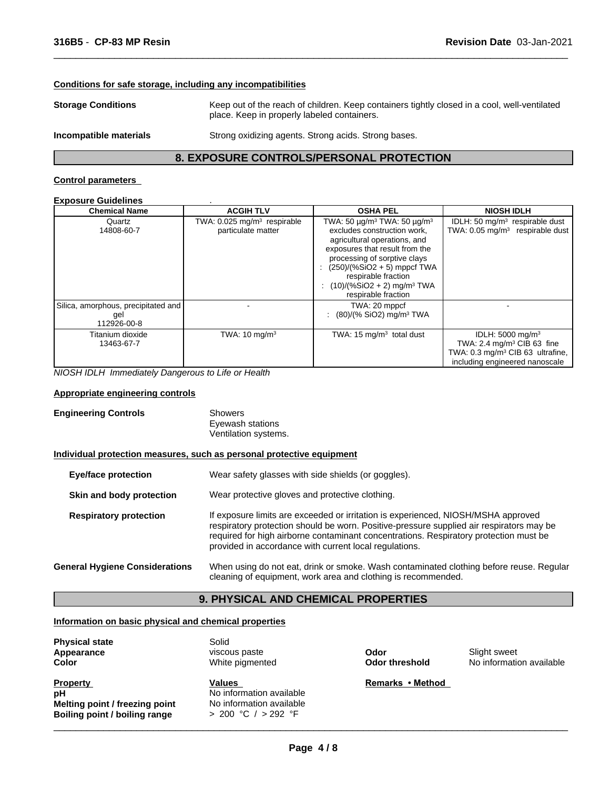## **Conditions for safe storage, including any incompatibilities**

**Storage Conditions** Keep out of the reach of children. Keep containers tightly closed in a cool, well-ventilated place. Keep in properly labeled containers.

**Incompatible materials** Strong oxidizing agents. Strong acids. Strong bases.

 $\overline{\phantom{a}}$  ,  $\overline{\phantom{a}}$  ,  $\overline{\phantom{a}}$  ,  $\overline{\phantom{a}}$  ,  $\overline{\phantom{a}}$  ,  $\overline{\phantom{a}}$  ,  $\overline{\phantom{a}}$  ,  $\overline{\phantom{a}}$  ,  $\overline{\phantom{a}}$  ,  $\overline{\phantom{a}}$  ,  $\overline{\phantom{a}}$  ,  $\overline{\phantom{a}}$  ,  $\overline{\phantom{a}}$  ,  $\overline{\phantom{a}}$  ,  $\overline{\phantom{a}}$  ,  $\overline{\phantom{a}}$ 

## **8. EXPOSURE CONTROLS/PERSONAL PROTECTION**

## **Control parameters**

#### **Exposure Guidelines** .

| <b>Chemical Name</b>                                      | <b>ACGIH TLV</b>                                              | <b>OSHA PEL</b>                                                                                                                                                                                                                                                                                                             | <b>NIOSH IDLH</b>                                                                                                                                        |
|-----------------------------------------------------------|---------------------------------------------------------------|-----------------------------------------------------------------------------------------------------------------------------------------------------------------------------------------------------------------------------------------------------------------------------------------------------------------------------|----------------------------------------------------------------------------------------------------------------------------------------------------------|
| Quartz<br>14808-60-7                                      | TWA: 0.025 mg/m <sup>3</sup> respirable<br>particulate matter | TWA: 50 $\mu$ g/m <sup>3</sup> TWA: 50 $\mu$ g/m <sup>3</sup><br>excludes construction work.<br>agricultural operations, and<br>exposures that result from the<br>processing of sorptive clays<br>$(250)/(%SiO2 + 5)$ mppcf TWA<br>respirable fraction<br>: $(10)/(%SiO2 + 2)$ mg/m <sup>3</sup> TWA<br>respirable fraction | IDLH: 50 $mg/m3$ respirable dust<br>TWA: $0.05$ mg/m <sup>3</sup> respirable dust                                                                        |
| Silica, amorphous, precipitated and<br>gel<br>112926-00-8 |                                                               | TWA: 20 mppcf<br>$(80)/(%$ SiO2) mg/m <sup>3</sup> TWA                                                                                                                                                                                                                                                                      |                                                                                                                                                          |
| Titanium dioxide<br>13463-67-7                            | TWA: $10 \text{ mg/m}^3$                                      | TWA: $15 \text{ mg/m}^3$ total dust                                                                                                                                                                                                                                                                                         | IDLH: 5000 mg/m <sup>3</sup><br>TWA: 2.4 mg/m <sup>3</sup> CIB 63 fine<br>TWA: 0.3 mg/m <sup>3</sup> CIB 63 ultrafine,<br>including engineered nanoscale |

*NIOSH IDLH Immediately Dangerous to Life or Health*

## **Appropriate engineering controls**

| <b>Engineering Controls</b> | Showers              |  |
|-----------------------------|----------------------|--|
|                             | Eyewash stations     |  |
|                             | Ventilation systems. |  |
|                             |                      |  |

## **Individual protection measures, such as personal protective equipment**

| <b>Eye/face protection</b>            | Wear safety glasses with side shields (or goggles).                                                                                                                                                                                                                                                                              |
|---------------------------------------|----------------------------------------------------------------------------------------------------------------------------------------------------------------------------------------------------------------------------------------------------------------------------------------------------------------------------------|
| Skin and body protection              | Wear protective gloves and protective clothing.                                                                                                                                                                                                                                                                                  |
| <b>Respiratory protection</b>         | If exposure limits are exceeded or irritation is experienced, NIOSH/MSHA approved<br>respiratory protection should be worn. Positive-pressure supplied air respirators may be<br>required for high airborne contaminant concentrations. Respiratory protection must be<br>provided in accordance with current local regulations. |
| <b>General Hygiene Considerations</b> | When using do not eat, drink or smoke. Wash contaminated clothing before reuse. Regular<br>cleaning of equipment, work area and clothing is recommended.                                                                                                                                                                         |

## **9. PHYSICAL AND CHEMICAL PROPERTIES**

## **Information on basic physical and chemical properties**

| <b>Physical state</b>          | Solid                    |                  |                          |
|--------------------------------|--------------------------|------------------|--------------------------|
| Appearance                     | viscous paste            | Odor             | Slight sweet             |
| Color                          | White pigmented          | Odor threshold   | No information available |
| <b>Property</b>                | Values                   | Remarks • Method |                          |
| pН                             | No information available |                  |                          |
| Melting point / freezing point | No information available |                  |                          |
| Boiling point / boiling range  | $> 200$ °C $/ > 292$ °F  |                  |                          |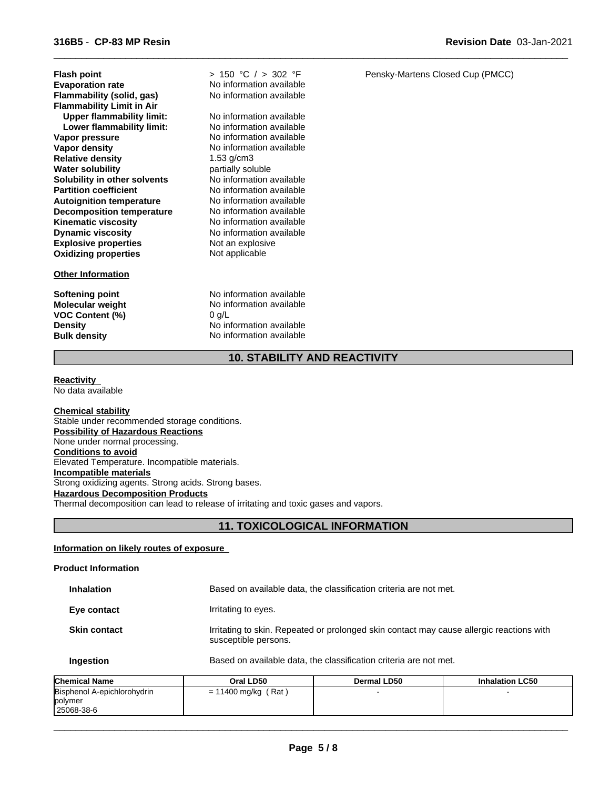| <b>Flash point</b>               | > 1  |
|----------------------------------|------|
| <b>Evaporation rate</b>          | No.  |
| <b>Flammability (solid, gas)</b> | No.  |
| <b>Flammability Limit in Air</b> |      |
| <b>Upper flammability limit:</b> | No i |
| Lower flammability limit:        | No i |
| Vapor pressure                   | No.  |
| Vapor density                    | No.  |
| <b>Relative density</b>          | 1.53 |
| <b>Water solubility</b>          | part |
| Solubility in other solvents     | No i |
| <b>Partition coefficient</b>     | No   |
| <b>Autoignition temperature</b>  | No.  |
| <b>Decomposition temperature</b> | No.  |
| <b>Kinematic viscosity</b>       | No.  |
| <b>Dynamic viscosity</b>         | No.  |
| <b>Explosive properties</b>      | Not  |
| <b>Oxidizing properties</b>      | Not  |

## **Other Information**

**VOC Content (%)** 0 g/L

**Not an explosive** Not applicable No information available **Flammability (solid, gas)** No information available **Relative density** 1.53 g/cm3 > 150 °C / > 302 °F partially soluble **No information available No information available Autoignition temperature** No information available **No information available No information available Kinematic viscosity** No information available **No information available No information available Lower flammability limit:** No information available **No information available** 

**Softening point** No information available **Molecular weight** No information available **Density** No information available **Bulk density** No information available

Pensky-Martens Closed Cup (PMCC)

**Revision Date** 03-Jan-2021

 $\overline{\phantom{a}}$  ,  $\overline{\phantom{a}}$  ,  $\overline{\phantom{a}}$  ,  $\overline{\phantom{a}}$  ,  $\overline{\phantom{a}}$  ,  $\overline{\phantom{a}}$  ,  $\overline{\phantom{a}}$  ,  $\overline{\phantom{a}}$  ,  $\overline{\phantom{a}}$  ,  $\overline{\phantom{a}}$  ,  $\overline{\phantom{a}}$  ,  $\overline{\phantom{a}}$  ,  $\overline{\phantom{a}}$  ,  $\overline{\phantom{a}}$  ,  $\overline{\phantom{a}}$  ,  $\overline{\phantom{a}}$ 

## **10. STABILITY AND REACTIVITY**

#### **Reactivity**  No data available

**Chemical stability** Stable under recommended storage conditions. **Possibility of Hazardous Reactions** None under normal processing. **Conditions to avoid** Elevated Temperature. Incompatible materials. **Incompatible materials** Strong oxidizing agents. Strong acids. Strong bases. **Hazardous Decomposition Products** Thermal decomposition can lead to release of irritating and toxic gases and vapors.

## **11. TOXICOLOGICAL INFORMATION**

## **Information on likely routes of exposure**

## **Product Information Inhalation** Based on available data, the classification criteria are not met. **Eye contact I**rritating to eyes. **Skin contact Irritating to skin. Repeated or prolonged skin contact may cause allergic reactions with** susceptible persons. **Ingestion** Based on available data, the classification criteria are not met.

| <b>Chemical Name</b>        | Oral LD50                | Dermal LD50 | <b>Inhalation LC50</b> |
|-----------------------------|--------------------------|-------------|------------------------|
| Bisphenol A-epichlorohydrin | ، Rat '<br>= 11400 mg/kg |             |                        |
| polymer                     |                          |             |                        |
| 25068-38-6                  |                          |             |                        |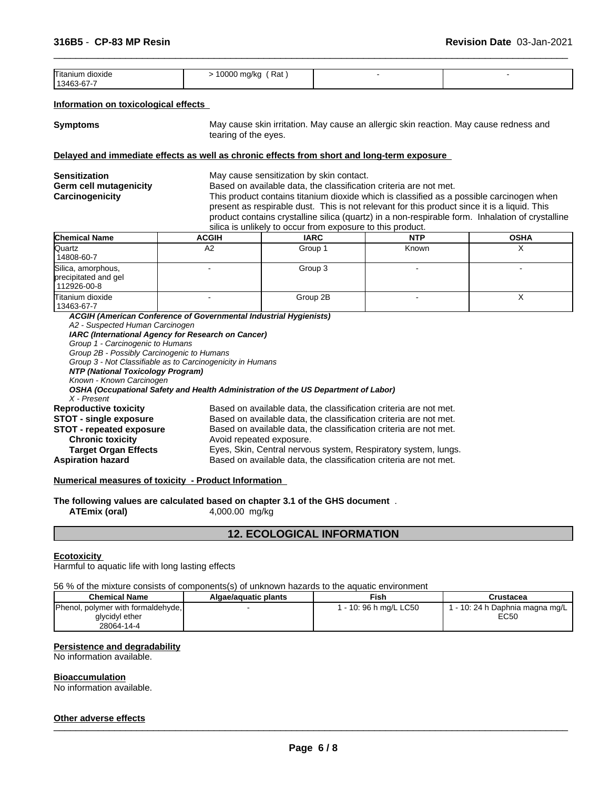| --<br>'I itaniun.<br>dioxide | Rat<br>nnnn<br>mg/kg<br>$\cdot$ $\cdot$<br>$\cdot$ |  |
|------------------------------|----------------------------------------------------|--|
| 113463-67-7                  |                                                    |  |

## **Information on toxicological effects**

**Symptoms** May cause skin irritation. May cause an allergic skin reaction. May cause redness and tearing of the eyes.

 $\overline{\phantom{a}}$  ,  $\overline{\phantom{a}}$  ,  $\overline{\phantom{a}}$  ,  $\overline{\phantom{a}}$  ,  $\overline{\phantom{a}}$  ,  $\overline{\phantom{a}}$  ,  $\overline{\phantom{a}}$  ,  $\overline{\phantom{a}}$  ,  $\overline{\phantom{a}}$  ,  $\overline{\phantom{a}}$  ,  $\overline{\phantom{a}}$  ,  $\overline{\phantom{a}}$  ,  $\overline{\phantom{a}}$  ,  $\overline{\phantom{a}}$  ,  $\overline{\phantom{a}}$  ,  $\overline{\phantom{a}}$ 

#### **Delayed and immediate effects as well as chronic effects from short and long-term exposure**

| Sensitization          |
|------------------------|
| Germ cell mutagenicity |
| Carcinogenicity        |

May cause sensitization by skin contact.

Based on available data, the classification criteria are not met.

This product contains titanium dioxide which is classified as a possible carcinogen when present as respirable dust. This is not relevant for this product since it is a liquid. This product contains crystalline silica (quartz) in a non-respirable form. Inhalation of crystalline silica is unlikely to occur from exposure to this product.

| <b>Chemical Name</b>                                      | <b>ACGIH</b> | <b>IARC</b> | <b>NTP</b> | <b>OSHA</b> |
|-----------------------------------------------------------|--------------|-------------|------------|-------------|
| Quartz<br>14808-60-7                                      | Α2           | Group 1     | Known      |             |
| Silica, amorphous,<br>precipitated and gel<br>112926-00-8 |              | Group 3     |            |             |
| Titanium dioxide<br>13463-67-7                            |              | Group 2B    |            |             |

*ACGIH (American Conference of Governmental Industrial Hygienists) A2 - Suspected Human Carcinogen IARC (International Agency for Research on Cancer) Group 1 - Carcinogenic to Humans Group 2B - Possibly Carcinogenic to Humans Group 3 - Not Classifiable as to Carcinogenicity in Humans NTP (National Toxicology Program) Known - Known Carcinogen OSHA (Occupational Safety and Health Administration of the US Department of Labor) X - Present* Based on available data, the classification criteria are not met. **STOT - single exposure** Based on available data, the classification criteria are not met. **STOT - repeated exposure** Based on available data, the classification criteria are not met. **Chronic toxicity Avoid repeated exposure. Target Organ Effects** Eyes, Skin, Central nervous system, Respiratory system, lungs. **Aspiration hazard** Based on available data, the classification criteria are not met.

## **Numerical measures of toxicity - Product Information**

**The following values are calculated based on chapter 3.1 of the GHS document** . **ATEmix (oral)** 4,000.00 mg/kg

## **12. ECOLOGICAL INFORMATION**

#### **Ecotoxicity**

Harmful to aquatic life with long lasting effects

56 % of the mixture consists of components(s) of unknown hazards to the aquatic environment

| <b>Chemical Name</b>                                                 | Algae/aguatic plants | Fish                   | Crustacea                               |
|----------------------------------------------------------------------|----------------------|------------------------|-----------------------------------------|
| [Phenol, polymer with formaldehyde,]<br>glycidyl ether<br>28064-14-4 |                      | l - 10: 96 h ma/L LC50 | i - 10: 24 h Daphnia magna mg/L<br>EC50 |

#### **Persistence and degradability**

No information available.

#### **Bioaccumulation**

No information available.

## **Other adverse effects** \_\_\_\_\_\_\_\_\_\_\_\_\_\_\_\_\_\_\_\_\_\_\_\_\_\_\_\_\_\_\_\_\_\_\_\_\_\_\_\_\_\_\_\_\_\_\_\_\_\_\_\_\_\_\_\_\_\_\_\_\_\_\_\_\_\_\_\_\_\_\_\_\_\_\_\_\_\_\_\_\_\_\_\_\_\_\_\_\_\_\_\_\_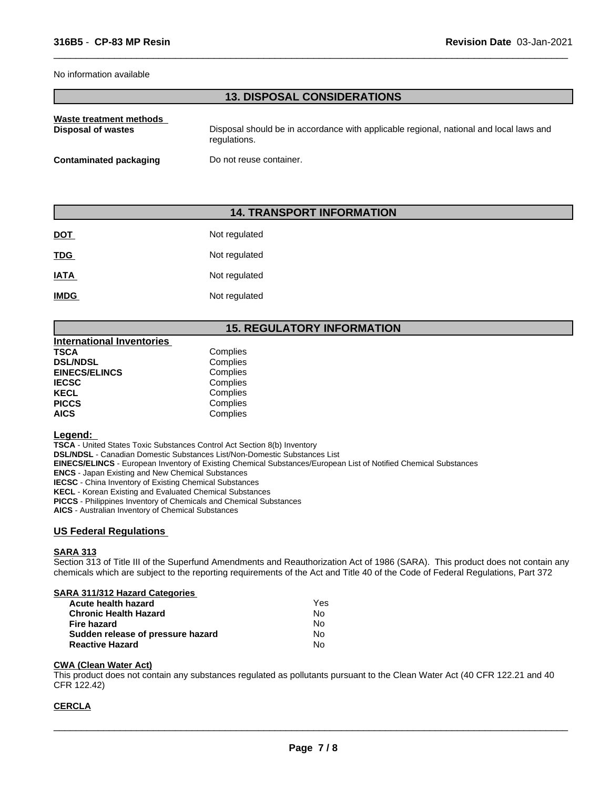#### No information available

## **13. DISPOSAL CONSIDERATIONS**

 $\overline{\phantom{a}}$  ,  $\overline{\phantom{a}}$  ,  $\overline{\phantom{a}}$  ,  $\overline{\phantom{a}}$  ,  $\overline{\phantom{a}}$  ,  $\overline{\phantom{a}}$  ,  $\overline{\phantom{a}}$  ,  $\overline{\phantom{a}}$  ,  $\overline{\phantom{a}}$  ,  $\overline{\phantom{a}}$  ,  $\overline{\phantom{a}}$  ,  $\overline{\phantom{a}}$  ,  $\overline{\phantom{a}}$  ,  $\overline{\phantom{a}}$  ,  $\overline{\phantom{a}}$  ,  $\overline{\phantom{a}}$ 

| Waste treatment methods | Disposal should be in accordance with applicable regional, national and local laws and |
|-------------------------|----------------------------------------------------------------------------------------|
| Disposal of wastes      | regulations.                                                                           |
| Contaminated packaging  | Do not reuse container.                                                                |

## **14. TRANSPORT INFORMATION**

| <b>DOT</b>  | Not regulated |
|-------------|---------------|
| <u>TDG</u>  | Not regulated |
| <b>IATA</b> | Not regulated |
| <b>IMDG</b> | Not regulated |

## **15. REGULATORY INFORMATION**

| International Inventories |          |  |
|---------------------------|----------|--|
| TSCA                      | Complies |  |
| <b>DSL/NDSL</b>           | Complies |  |
| <b>EINECS/ELINCS</b>      | Complies |  |
| IECSC                     | Complies |  |
| KECL                      | Complies |  |
| PICCS                     | Complies |  |
| AICS                      | Complies |  |

## **Legend:**

**TSCA** - United States Toxic Substances Control Act Section 8(b) Inventory **DSL/NDSL** - Canadian Domestic Substances List/Non-Domestic Substances List **EINECS/ELINCS** - European Inventory of Existing Chemical Substances/European List of Notified Chemical Substances **ENCS** - Japan Existing and New Chemical Substances **IECSC** - China Inventory of Existing Chemical Substances **KECL** - Korean Existing and Evaluated Chemical Substances **PICCS** - Philippines Inventory of Chemicals and Chemical Substances **AICS** - Australian Inventory of Chemical Substances

## **US Federal Regulations**

## **SARA 313**

Section 313 of Title III of the Superfund Amendments and Reauthorization Act of 1986 (SARA). This product does not contain any chemicals which are subject to the reporting requirements of the Act and Title 40 of the Code of Federal Regulations, Part 372

#### **SARA 311/312 Hazard Categories**

| Acute health hazard               | Yes |  |
|-----------------------------------|-----|--|
| <b>Chronic Health Hazard</b>      | N٥  |  |
| Fire hazard                       | N٥  |  |
| Sudden release of pressure hazard | N٥  |  |
| <b>Reactive Hazard</b>            | N٥  |  |

## **CWA (Clean Water Act)**

This product does not contain any substances regulated as pollutants pursuant to the Clean Water Act (40 CFR 122.21 and 40 CFR 122.42)

## **CERCLA**